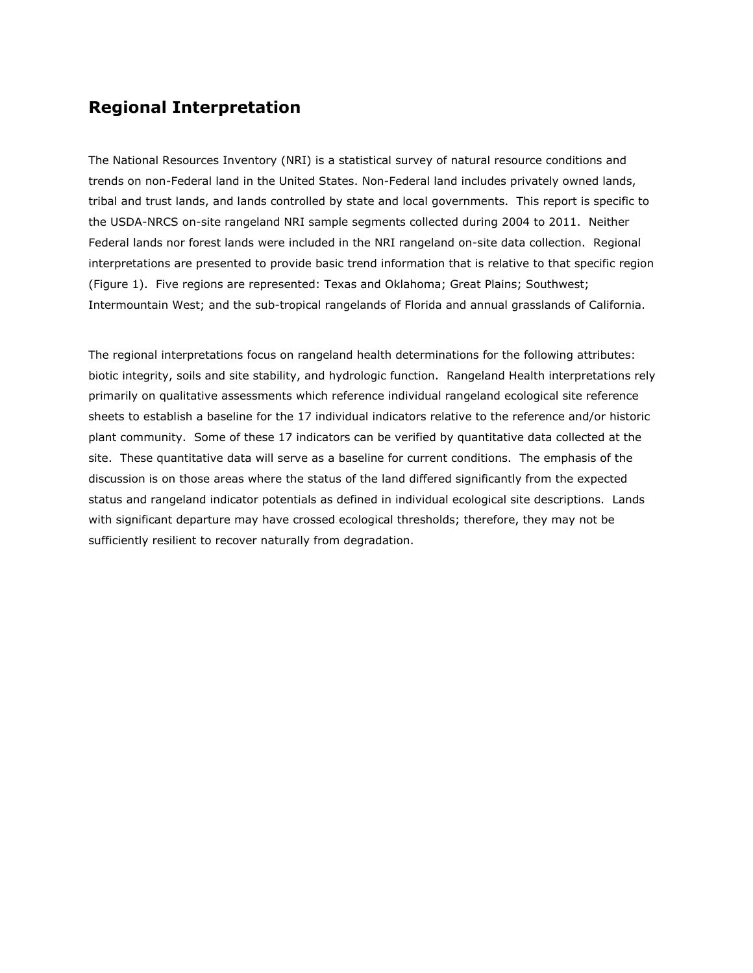## **Regional Interpretation**

The National Resources Inventory (NRI) is a statistical survey of natural resource conditions and trends on non-Federal land in the United States. Non-Federal land includes privately owned lands, tribal and trust lands, and lands controlled by state and local governments. This report is specific to the USDA-NRCS on-site rangeland NRI sample segments collected during 2004 to 2011. Neither Federal lands nor forest lands were included in the NRI rangeland on-site data collection. Regional interpretations are presented to provide basic trend information that is relative to that specific region (Figure 1). Five regions are represented: Texas and Oklahoma; Great Plains; Southwest; Intermountain West; and the sub-tropical rangelands of Florida and annual grasslands of California.

The regional interpretations focus on rangeland health determinations for the following attributes: biotic integrity, soils and site stability, and hydrologic function. Rangeland Health interpretations rely primarily on qualitative assessments which reference individual rangeland ecological site reference sheets to establish a baseline for the 17 individual indicators relative to the reference and/or historic plant community. Some of these 17 indicators can be verified by quantitative data collected at the site. These quantitative data will serve as a baseline for current conditions. The emphasis of the discussion is on those areas where the status of the land differed significantly from the expected status and rangeland indicator potentials as defined in individual ecological site descriptions. Lands with significant departure may have crossed ecological thresholds; therefore, they may not be sufficiently resilient to recover naturally from degradation.